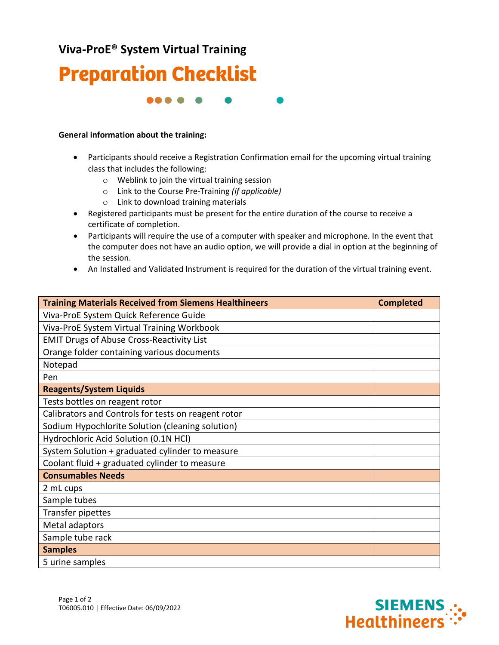## **Viva-ProE® System Virtual Training**



66 O O

## **General information about the training:**

- Participants should receive a Registration Confirmation email for the upcoming virtual training class that includes the following:
	- o Weblink to join the virtual training session
	- o Link to the Course Pre-Training *(if applicable)*
	- o Link to download training materials
- Registered participants must be present for the entire duration of the course to receive a certificate of completion.
- Participants will require the use of a computer with speaker and microphone. In the event that the computer does not have an audio option, we will provide a dial in option at the beginning of the session.
- An Installed and Validated Instrument is required for the duration of the virtual training event.

| <b>Training Materials Received from Siemens Healthineers</b> | <b>Completed</b> |
|--------------------------------------------------------------|------------------|
| Viva-ProE System Quick Reference Guide                       |                  |
| Viva-ProE System Virtual Training Workbook                   |                  |
| <b>EMIT Drugs of Abuse Cross-Reactivity List</b>             |                  |
| Orange folder containing various documents                   |                  |
| Notepad                                                      |                  |
| Pen                                                          |                  |
| <b>Reagents/System Liquids</b>                               |                  |
| Tests bottles on reagent rotor                               |                  |
| Calibrators and Controls for tests on reagent rotor          |                  |
| Sodium Hypochlorite Solution (cleaning solution)             |                  |
| Hydrochloric Acid Solution (0.1N HCl)                        |                  |
| System Solution + graduated cylinder to measure              |                  |
| Coolant fluid + graduated cylinder to measure                |                  |
| <b>Consumables Needs</b>                                     |                  |
| 2 mL cups                                                    |                  |
| Sample tubes                                                 |                  |
| Transfer pipettes                                            |                  |
| Metal adaptors                                               |                  |
| Sample tube rack                                             |                  |
| <b>Samples</b>                                               |                  |
| 5 urine samples                                              |                  |